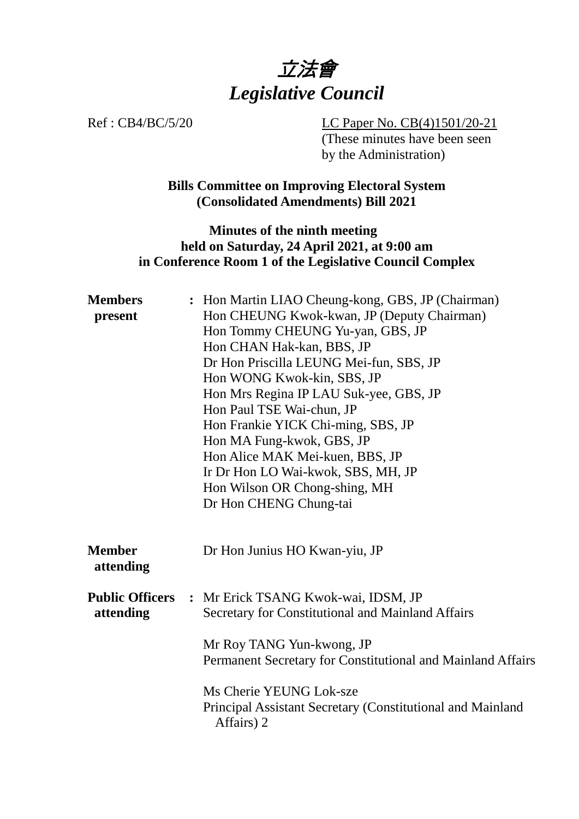

Ref : CB4/BC/5/20 LC Paper No. CB(4)1501/20-21 (These minutes have been seen by the Administration)

> **Bills Committee on Improving Electoral System (Consolidated Amendments) Bill 2021**

# **Minutes of the ninth meeting held on Saturday, 24 April 2021, at 9:00 am in Conference Room 1 of the Legislative Council Complex**

| <b>Members</b><br>present           | : Hon Martin LIAO Cheung-kong, GBS, JP (Chairman)<br>Hon CHEUNG Kwok-kwan, JP (Deputy Chairman)<br>Hon Tommy CHEUNG Yu-yan, GBS, JP<br>Hon CHAN Hak-kan, BBS, JP<br>Dr Hon Priscilla LEUNG Mei-fun, SBS, JP<br>Hon WONG Kwok-kin, SBS, JP<br>Hon Mrs Regina IP LAU Suk-yee, GBS, JP<br>Hon Paul TSE Wai-chun, JP<br>Hon Frankie YICK Chi-ming, SBS, JP<br>Hon MA Fung-kwok, GBS, JP<br>Hon Alice MAK Mei-kuen, BBS, JP<br>Ir Dr Hon LO Wai-kwok, SBS, MH, JP<br>Hon Wilson OR Chong-shing, MH<br>Dr Hon CHENG Chung-tai |
|-------------------------------------|-------------------------------------------------------------------------------------------------------------------------------------------------------------------------------------------------------------------------------------------------------------------------------------------------------------------------------------------------------------------------------------------------------------------------------------------------------------------------------------------------------------------------|
| <b>Member</b><br>attending          | Dr Hon Junius HO Kwan-yiu, JP                                                                                                                                                                                                                                                                                                                                                                                                                                                                                           |
| <b>Public Officers</b><br>attending | : Mr Erick TSANG Kwok-wai, IDSM, JP<br>Secretary for Constitutional and Mainland Affairs<br>Mr Roy TANG Yun-kwong, JP<br>Permanent Secretary for Constitutional and Mainland Affairs                                                                                                                                                                                                                                                                                                                                    |
|                                     | Ms Cherie YEUNG Lok-sze<br>Principal Assistant Secretary (Constitutional and Mainland<br>Affairs) 2                                                                                                                                                                                                                                                                                                                                                                                                                     |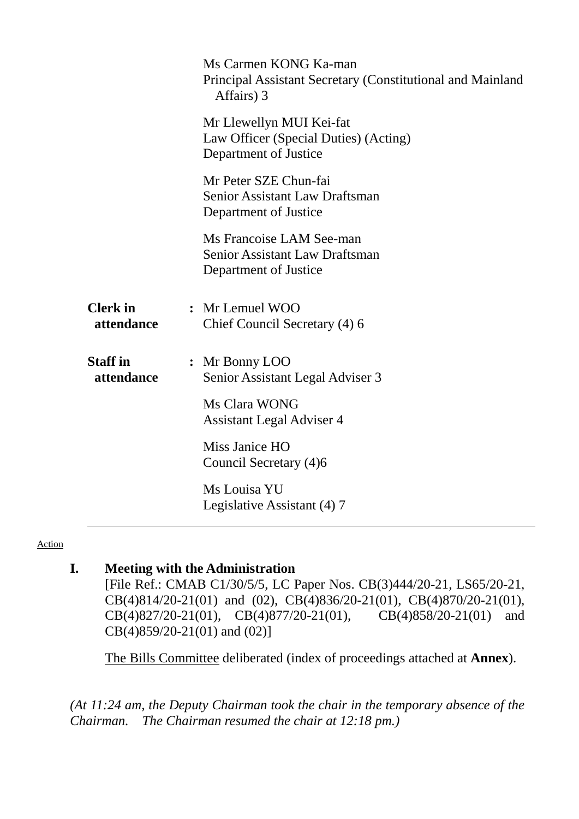|                               | Ms Carmen KONG Ka-man<br>Principal Assistant Secretary (Constitutional and Mainland<br>Affairs) 3 |  |
|-------------------------------|---------------------------------------------------------------------------------------------------|--|
|                               | Mr Llewellyn MUI Kei-fat<br>Law Officer (Special Duties) (Acting)<br>Department of Justice        |  |
|                               | Mr Peter SZE Chun-fai<br><b>Senior Assistant Law Draftsman</b><br>Department of Justice           |  |
|                               | Ms Francoise LAM See-man<br><b>Senior Assistant Law Draftsman</b><br>Department of Justice        |  |
| <b>Clerk</b> in<br>attendance | : Mr Lemuel WOO<br>Chief Council Secretary (4) 6                                                  |  |
| <b>Staff</b> in<br>attendance | : Mr Bonny LOO<br>Senior Assistant Legal Adviser 3                                                |  |
|                               | Ms Clara WONG<br><b>Assistant Legal Adviser 4</b>                                                 |  |
|                               | Miss Janice HO<br>Council Secretary (4)6                                                          |  |
|                               | Ms Louisa YU<br>Legislative Assistant (4) 7                                                       |  |

#### Action

# **I. Meeting with the Administration**

[File Ref.: CMAB C1/30/5/5, LC Paper Nos. CB(3)444/20-21, LS65/20-21, CB(4)814/20-21(01) and (02), CB(4)836/20-21(01), CB(4)870/20-21(01), CB(4)827/20-21(01), CB(4)877/20-21(01), CB(4)858/20-21(01) and CB(4)827/20-21(01), CB(4)877/20-21(01), CB(4)858/20-21(01) and CB(4)859/20-21(01) and (02)]

1. The Bills Committee deliberated (index of proceedings attached at **Annex**).

*(At 11:24 am, the Deputy Chairman took the chair in the temporary absence of the Chairman. The Chairman resumed the chair at 12:18 pm.)*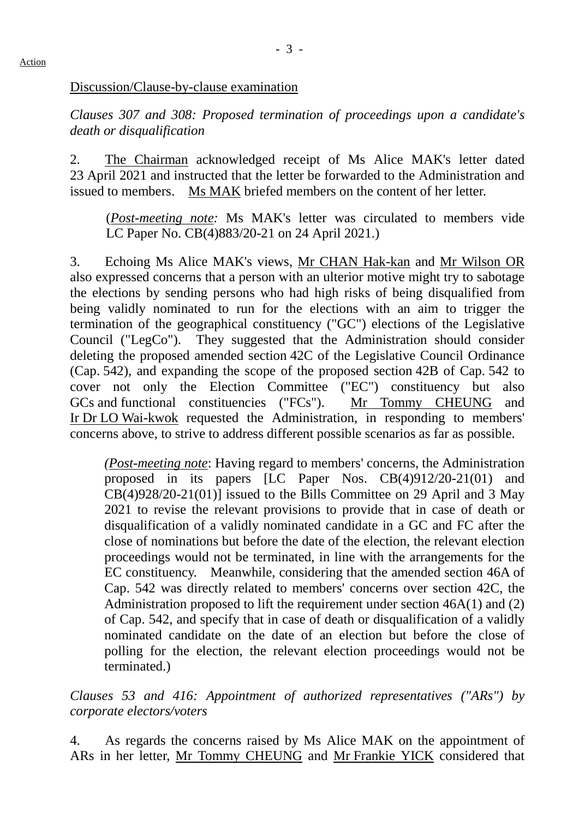*Clauses 307 and 308: Proposed termination of proceedings upon a candidate's death or disqualification*

2. The Chairman acknowledged receipt of Ms Alice MAK's letter dated 23 April 2021 and instructed that the letter be forwarded to the Administration and issued to members. Ms MAK briefed members on the content of her letter.

(*Post-meeting note:* Ms MAK's letter was circulated to members vide LC Paper No. CB(4)883/20-21 on 24 April 2021.)

3. Echoing Ms Alice MAK's views, Mr CHAN Hak-kan and Mr Wilson OR also expressed concerns that a person with an ulterior motive might try to sabotage the elections by sending persons who had high risks of being disqualified from being validly nominated to run for the elections with an aim to trigger the termination of the geographical constituency ("GC") elections of the Legislative Council ("LegCo"). They suggested that the Administration should consider deleting the proposed amended section 42C of the Legislative Council Ordinance (Cap. 542), and expanding the scope of the proposed section 42B of Cap. 542 to cover not only the Election Committee ("EC") constituency but also GCs and functional constituencies ("FCs"). Mr Tommy CHEUNG and Ir Dr LO Wai-kwok requested the Administration, in responding to members' concerns above, to strive to address different possible scenarios as far as possible.

*(Post-meeting note*: Having regard to members' concerns, the Administration proposed in its papers [LC Paper Nos. CB(4)912/20-21(01) and CB(4)928/20-21(01)] issued to the Bills Committee on 29 April and 3 May 2021 to revise the relevant provisions to provide that in case of death or disqualification of a validly nominated candidate in a GC and FC after the close of nominations but before the date of the election, the relevant election proceedings would not be terminated, in line with the arrangements for the EC constituency. Meanwhile, considering that the amended section 46A of Cap. 542 was directly related to members' concerns over section 42C, the Administration proposed to lift the requirement under section 46A(1) and (2) of Cap. 542, and specify that in case of death or disqualification of a validly nominated candidate on the date of an election but before the close of polling for the election, the relevant election proceedings would not be terminated.)

*Clauses 53 and 416: Appointment of authorized representatives ("ARs") by corporate electors/voters*

4. As regards the concerns raised by Ms Alice MAK on the appointment of ARs in her letter, Mr Tommy CHEUNG and Mr Frankie YICK considered that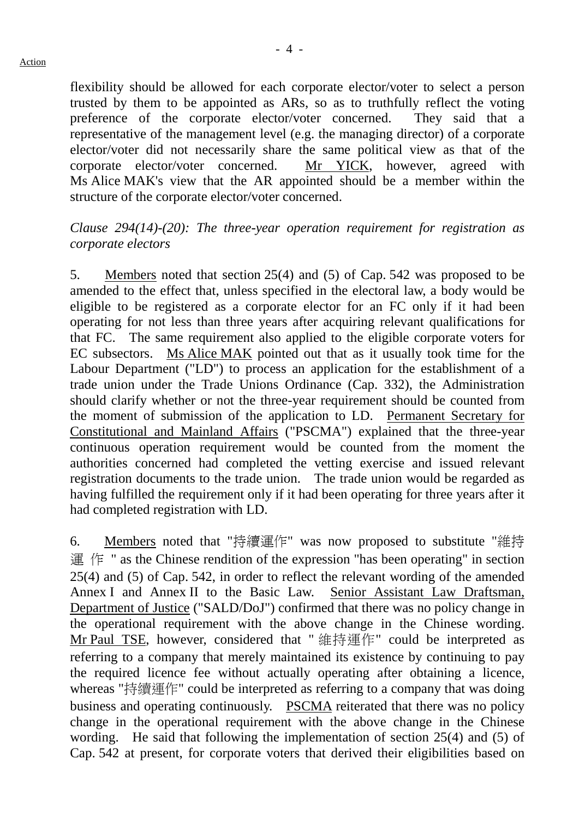flexibility should be allowed for each corporate elector/voter to select a person trusted by them to be appointed as ARs, so as to truthfully reflect the voting preference of the corporate elector/voter concerned. They said that a representative of the management level (e.g. the managing director) of a corporate elector/voter did not necessarily share the same political view as that of the corporate elector/voter concerned. Mr YICK, however, agreed with Ms Alice MAK's view that the AR appointed should be a member within the structure of the corporate elector/voter concerned.

#### *Clause 294(14)-(20): The three-year operation requirement for registration as corporate electors*

5. Members noted that section 25(4) and (5) of Cap. 542 was proposed to be amended to the effect that, unless specified in the electoral law, a body would be eligible to be registered as a corporate elector for an FC only if it had been operating for not less than three years after acquiring relevant qualifications for that FC. The same requirement also applied to the eligible corporate voters for EC subsectors. Ms Alice MAK pointed out that as it usually took time for the Labour Department ("LD") to process an application for the establishment of a trade union under the Trade Unions Ordinance (Cap. 332), the Administration should clarify whether or not the three-year requirement should be counted from the moment of submission of the application to LD. Permanent Secretary for Constitutional and Mainland Affairs ("PSCMA") explained that the three-year continuous operation requirement would be counted from the moment the authorities concerned had completed the vetting exercise and issued relevant registration documents to the trade union. The trade union would be regarded as having fulfilled the requirement only if it had been operating for three years after it had completed registration with LD.

6. Members noted that "持續運作" was now proposed to substitute "維持 運 作 " as the Chinese rendition of the expression "has been operating" in section 25(4) and (5) of Cap. 542, in order to reflect the relevant wording of the amended Annex I and Annex II to the Basic Law. Senior Assistant Law Draftsman, Department of Justice ("SALD/DoJ") confirmed that there was no policy change in the operational requirement with the above change in the Chinese wording. Mr Paul TSE, however, considered that " 維持運作" could be interpreted as referring to a company that merely maintained its existence by continuing to pay the required licence fee without actually operating after obtaining a licence, whereas "持續運作" could be interpreted as referring to a company that was doing business and operating continuously. PSCMA reiterated that there was no policy change in the operational requirement with the above change in the Chinese wording. He said that following the implementation of section 25(4) and (5) of Cap. 542 at present, for corporate voters that derived their eligibilities based on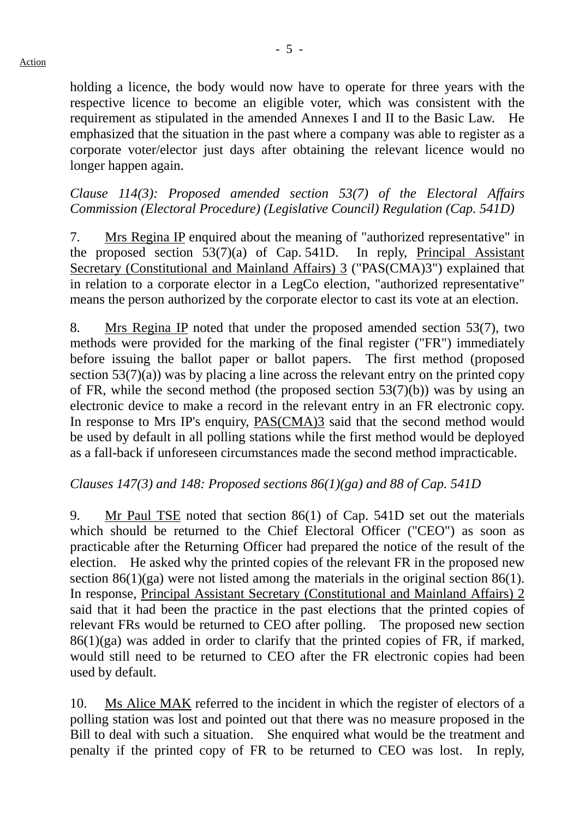holding a licence, the body would now have to operate for three years with the respective licence to become an eligible voter, which was consistent with the requirement as stipulated in the amended Annexes I and II to the Basic Law. He emphasized that the situation in the past where a company was able to register as a corporate voter/elector just days after obtaining the relevant licence would no longer happen again.

*Clause 114(3): Proposed amended section 53(7) of the Electoral Affairs Commission (Electoral Procedure) (Legislative Council) Regulation (Cap. 541D)*

7. Mrs Regina IP enquired about the meaning of "authorized representative" in the proposed section 53(7)(a) of Cap. 541D. In reply, Principal Assistant Secretary (Constitutional and Mainland Affairs) 3 ("PAS(CMA)3") explained that in relation to a corporate elector in a LegCo election, "authorized representative" means the person authorized by the corporate elector to cast its vote at an election.

8. Mrs Regina IP noted that under the proposed amended section 53(7), two methods were provided for the marking of the final register ("FR") immediately before issuing the ballot paper or ballot papers. The first method (proposed section  $53(7)(a)$ ) was by placing a line across the relevant entry on the printed copy of FR, while the second method (the proposed section 53(7)(b)) was by using an electronic device to make a record in the relevant entry in an FR electronic copy. In response to Mrs IP's enquiry, PAS(CMA)3 said that the second method would be used by default in all polling stations while the first method would be deployed as a fall-back if unforeseen circumstances made the second method impracticable.

# *Clauses 147(3) and 148: Proposed sections 86(1)(ga) and 88 of Cap. 541D*

9. Mr Paul TSE noted that section 86(1) of Cap. 541D set out the materials which should be returned to the Chief Electoral Officer ("CEO") as soon as practicable after the Returning Officer had prepared the notice of the result of the election. He asked why the printed copies of the relevant FR in the proposed new section 86(1)(ga) were not listed among the materials in the original section 86(1). In response, Principal Assistant Secretary (Constitutional and Mainland Affairs) 2 said that it had been the practice in the past elections that the printed copies of relevant FRs would be returned to CEO after polling. The proposed new section  $86(1)(ga)$  was added in order to clarify that the printed copies of FR, if marked, would still need to be returned to CEO after the FR electronic copies had been used by default.

10. Ms Alice MAK referred to the incident in which the register of electors of a polling station was lost and pointed out that there was no measure proposed in the Bill to deal with such a situation. She enquired what would be the treatment and penalty if the printed copy of FR to be returned to CEO was lost. In reply,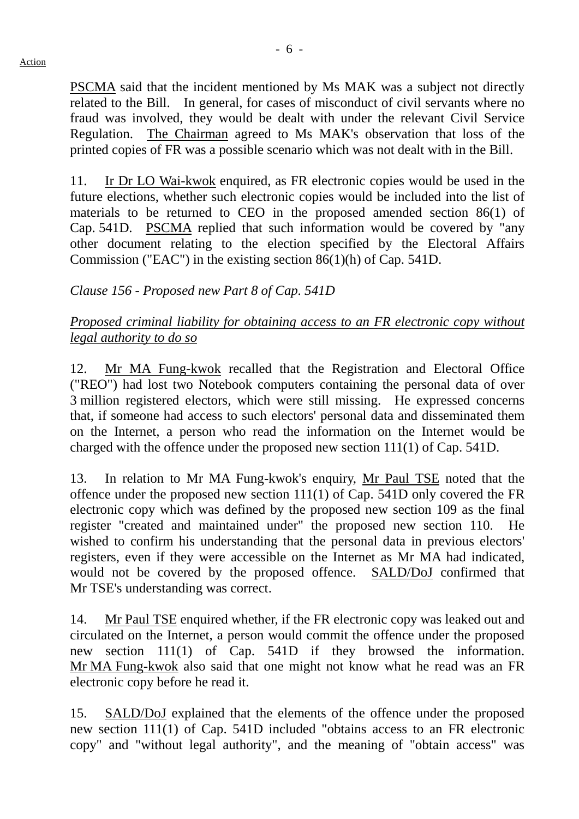PSCMA said that the incident mentioned by Ms MAK was a subject not directly related to the Bill. In general, for cases of misconduct of civil servants where no fraud was involved, they would be dealt with under the relevant Civil Service Regulation. The Chairman agreed to Ms MAK's observation that loss of the

printed copies of FR was a possible scenario which was not dealt with in the Bill. 11. Ir Dr LO Wai-kwok enquired, as FR electronic copies would be used in the future elections, whether such electronic copies would be included into the list of materials to be returned to CEO in the proposed amended section 86(1) of

Cap. 541D. PSCMA replied that such information would be covered by "any other document relating to the election specified by the Electoral Affairs Commission ("EAC") in the existing section 86(1)(h) of Cap. 541D.

# *Clause 156 - Proposed new Part 8 of Cap. 541D*

# *Proposed criminal liability for obtaining access to an FR electronic copy without legal authority to do so*

12. Mr MA Fung-kwok recalled that the Registration and Electoral Office ("REO") had lost two Notebook computers containing the personal data of over 3 million registered electors, which were still missing. He expressed concerns that, if someone had access to such electors' personal data and disseminated them on the Internet, a person who read the information on the Internet would be charged with the offence under the proposed new section 111(1) of Cap. 541D.

13. In relation to Mr MA Fung-kwok's enquiry, Mr Paul TSE noted that the offence under the proposed new section 111(1) of Cap. 541D only covered the FR electronic copy which was defined by the proposed new section 109 as the final register "created and maintained under" the proposed new section 110. He wished to confirm his understanding that the personal data in previous electors' registers, even if they were accessible on the Internet as Mr MA had indicated, would not be covered by the proposed offence. SALD/DoJ confirmed that Mr TSE's understanding was correct.

14. Mr Paul TSE enquired whether, if the FR electronic copy was leaked out and circulated on the Internet, a person would commit the offence under the proposed new section 111(1) of Cap. 541D if they browsed the information. Mr MA Fung-kwok also said that one might not know what he read was an FR electronic copy before he read it.

15. SALD/DoJ explained that the elements of the offence under the proposed new section 111(1) of Cap. 541D included "obtains access to an FR electronic copy" and "without legal authority", and the meaning of "obtain access" was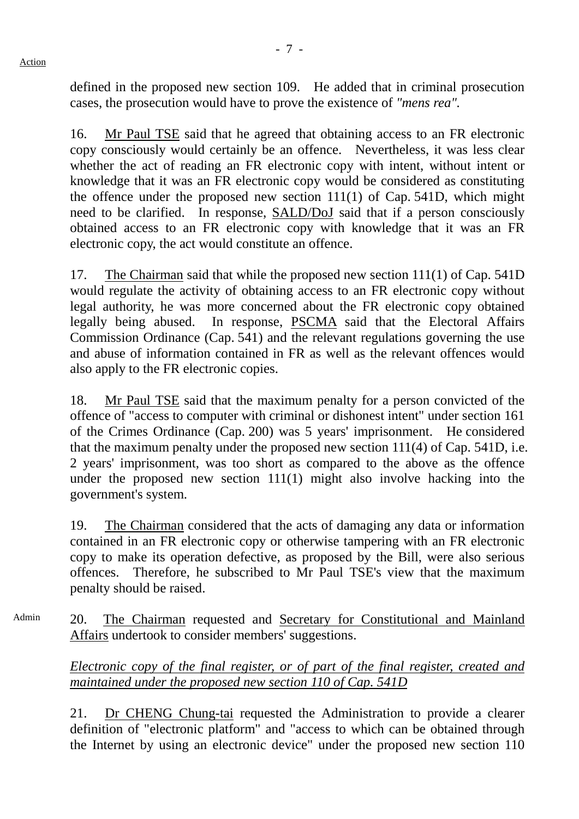defined in the proposed new section 109. He added that in criminal prosecution cases, the prosecution would have to prove the existence of *"mens rea".*

16. Mr Paul TSE said that he agreed that obtaining access to an FR electronic copy consciously would certainly be an offence. Nevertheless, it was less clear whether the act of reading an FR electronic copy with intent, without intent or knowledge that it was an FR electronic copy would be considered as constituting the offence under the proposed new section 111(1) of Cap. 541D, which might need to be clarified. In response, SALD/DoJ said that if a person consciously obtained access to an FR electronic copy with knowledge that it was an FR electronic copy, the act would constitute an offence.

17. The Chairman said that while the proposed new section 111(1) of Cap. 541D would regulate the activity of obtaining access to an FR electronic copy without legal authority, he was more concerned about the FR electronic copy obtained legally being abused. In response, PSCMA said that the Electoral Affairs Commission Ordinance (Cap. 541) and the relevant regulations governing the use and abuse of information contained in FR as well as the relevant offences would also apply to the FR electronic copies.

18. Mr Paul TSE said that the maximum penalty for a person convicted of the offence of "access to computer with criminal or dishonest intent" under section 161 of the Crimes Ordinance (Cap. 200) was 5 years' imprisonment. He considered that the maximum penalty under the proposed new section 111(4) of Cap. 541D, i.e. 2 years' imprisonment, was too short as compared to the above as the offence under the proposed new section 111(1) might also involve hacking into the government's system.

19. The Chairman considered that the acts of damaging any data or information contained in an FR electronic copy or otherwise tampering with an FR electronic copy to make its operation defective, as proposed by the Bill, were also serious offences. Therefore, he subscribed to Mr Paul TSE's view that the maximum penalty should be raised.

Admin 20. The Chairman requested and Secretary for Constitutional and Mainland Affairs undertook to consider members' suggestions.

> *Electronic copy of the final register, or of part of the final register, created and maintained under the proposed new section 110 of Cap. 541D*

> 21. Dr CHENG Chung-tai requested the Administration to provide a clearer definition of "electronic platform" and "access to which can be obtained through the Internet by using an electronic device" under the proposed new section 110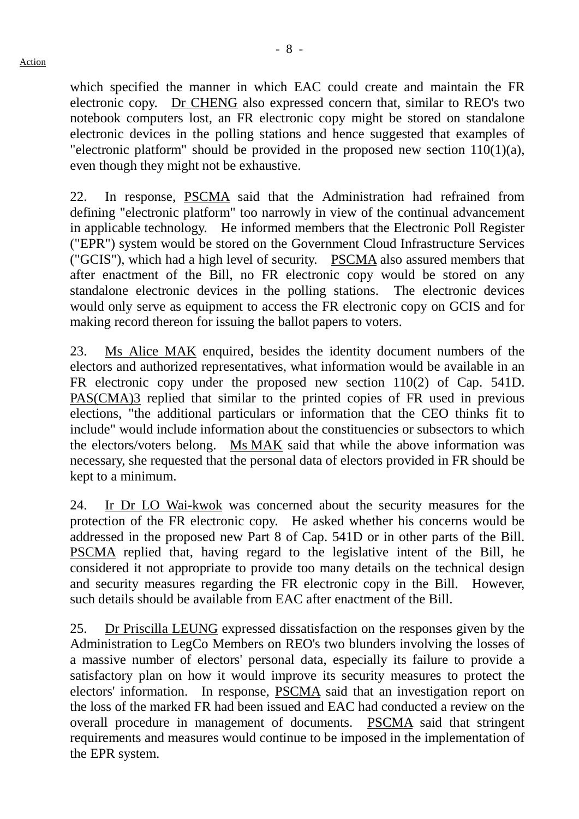which specified the manner in which EAC could create and maintain the FR electronic copy. Dr CHENG also expressed concern that, similar to REO's two notebook computers lost, an FR electronic copy might be stored on standalone electronic devices in the polling stations and hence suggested that examples of "electronic platform" should be provided in the proposed new section  $110(1)(a)$ , even though they might not be exhaustive.

22. In response, PSCMA said that the Administration had refrained from defining "electronic platform" too narrowly in view of the continual advancement in applicable technology. He informed members that the Electronic Poll Register ("EPR") system would be stored on the Government Cloud Infrastructure Services ("GCIS"), which had a high level of security. PSCMA also assured members that after enactment of the Bill, no FR electronic copy would be stored on any standalone electronic devices in the polling stations. The electronic devices would only serve as equipment to access the FR electronic copy on GCIS and for making record thereon for issuing the ballot papers to voters.

23. Ms Alice MAK enquired, besides the identity document numbers of the electors and authorized representatives, what information would be available in an FR electronic copy under the proposed new section 110(2) of Cap. 541D. PAS(CMA)3 replied that similar to the printed copies of FR used in previous elections, "the additional particulars or information that the CEO thinks fit to include" would include information about the constituencies or subsectors to which the electors/voters belong. Ms MAK said that while the above information was necessary, she requested that the personal data of electors provided in FR should be kept to a minimum.

24. Ir Dr LO Wai-kwok was concerned about the security measures for the protection of the FR electronic copy. He asked whether his concerns would be addressed in the proposed new Part 8 of Cap. 541D or in other parts of the Bill. PSCMA replied that, having regard to the legislative intent of the Bill, he considered it not appropriate to provide too many details on the technical design and security measures regarding the FR electronic copy in the Bill. However, such details should be available from EAC after enactment of the Bill.

25. Dr Priscilla LEUNG expressed dissatisfaction on the responses given by the Administration to LegCo Members on REO's two blunders involving the losses of a massive number of electors' personal data, especially its failure to provide a satisfactory plan on how it would improve its security measures to protect the electors' information. In response, PSCMA said that an investigation report on the loss of the marked FR had been issued and EAC had conducted a review on the overall procedure in management of documents. PSCMA said that stringent requirements and measures would continue to be imposed in the implementation of the EPR system.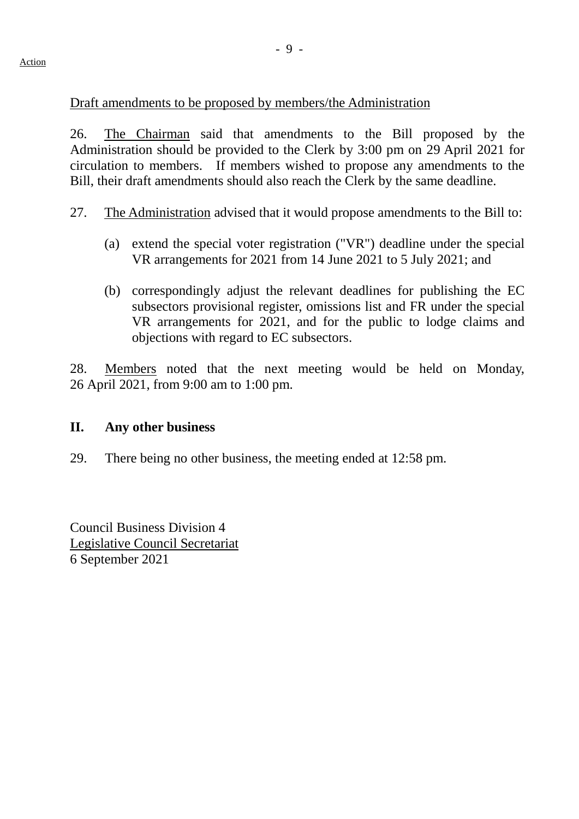## Draft amendments to be proposed by members/the Administration

26. The Chairman said that amendments to the Bill proposed by the Administration should be provided to the Clerk by 3:00 pm on 29 April 2021 for circulation to members. If members wished to propose any amendments to the Bill, their draft amendments should also reach the Clerk by the same deadline.

- 27. The Administration advised that it would propose amendments to the Bill to:
	- (a) extend the special voter registration ("VR") deadline under the special VR arrangements for 2021 from 14 June 2021 to 5 July 2021; and
	- (b) correspondingly adjust the relevant deadlines for publishing the EC subsectors provisional register, omissions list and FR under the special VR arrangements for 2021, and for the public to lodge claims and objections with regard to EC subsectors.

28. Members noted that the next meeting would be held on Monday, 26 April 2021, from 9:00 am to 1:00 pm.

#### **II. Any other business**

29. There being no other business, the meeting ended at 12:58 pm.

Council Business Division 4 Legislative Council Secretariat 6 September 2021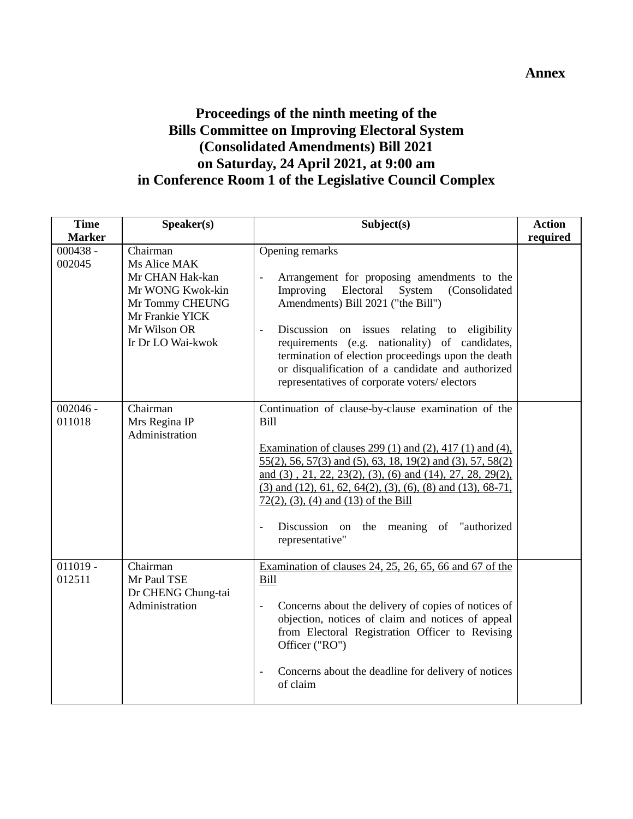## **Annex**

# **Proceedings of the ninth meeting of the Bills Committee on Improving Electoral System (Consolidated Amendments) Bill 2021 on Saturday, 24 April 2021, at 9:00 am in Conference Room 1 of the Legislative Council Complex**

| <b>Time</b>                           | Speaker(s)                                                                                                                                 | Subject(s)                                                                                                                                                                                                                                                                                                                                                                                                                                                               | <b>Action</b> |
|---------------------------------------|--------------------------------------------------------------------------------------------------------------------------------------------|--------------------------------------------------------------------------------------------------------------------------------------------------------------------------------------------------------------------------------------------------------------------------------------------------------------------------------------------------------------------------------------------------------------------------------------------------------------------------|---------------|
| <b>Marker</b><br>$000438 -$<br>002045 | Chairman<br>Ms Alice MAK<br>Mr CHAN Hak-kan<br>Mr WONG Kwok-kin<br>Mr Tommy CHEUNG<br>Mr Frankie YICK<br>Mr Wilson OR<br>Ir Dr LO Wai-kwok | Opening remarks<br>Arrangement for proposing amendments to the<br>$\overline{\phantom{0}}$<br>Improving<br>Electoral<br>System<br>(Consolidated<br>Amendments) Bill 2021 ("the Bill")<br>Discussion on issues relating to eligibility<br>$\frac{1}{2}$<br>requirements (e.g. nationality) of candidates,<br>termination of election proceedings upon the death<br>or disqualification of a candidate and authorized<br>representatives of corporate voters/electors      | required      |
| $002046 -$<br>011018                  | Chairman<br>Mrs Regina IP<br>Administration                                                                                                | Continuation of clause-by-clause examination of the<br>Bill<br>Examination of clauses $299(1)$ and $(2)$ , $417(1)$ and $(4)$ ,<br>55(2), 56, 57(3) and (5), 63, 18, 19(2) and (3), 57, 58(2)<br>and $(3)$ , 21, 22, 23(2), (3), (6) and (14), 27, 28, 29(2),<br>$(3)$ and $(12)$ , 61, 62, 64(2), (3), (6), (8) and (13), 68-71,<br>$72(2)$ , (3), (4) and (13) of the Bill<br>Discussion on the meaning of "authorized"<br>$\overline{\phantom{0}}$<br>representative" |               |
| $011019 -$<br>012511                  | Chairman<br>Mr Paul TSE<br>Dr CHENG Chung-tai<br>Administration                                                                            | Examination of clauses $24$ , $25$ , $26$ , $65$ , $66$ and $67$ of the<br><b>Bill</b><br>Concerns about the delivery of copies of notices of<br>$\frac{1}{2}$<br>objection, notices of claim and notices of appeal<br>from Electoral Registration Officer to Revising<br>Officer ("RO")<br>Concerns about the deadline for delivery of notices<br>$\overline{\phantom{0}}$<br>of claim                                                                                  |               |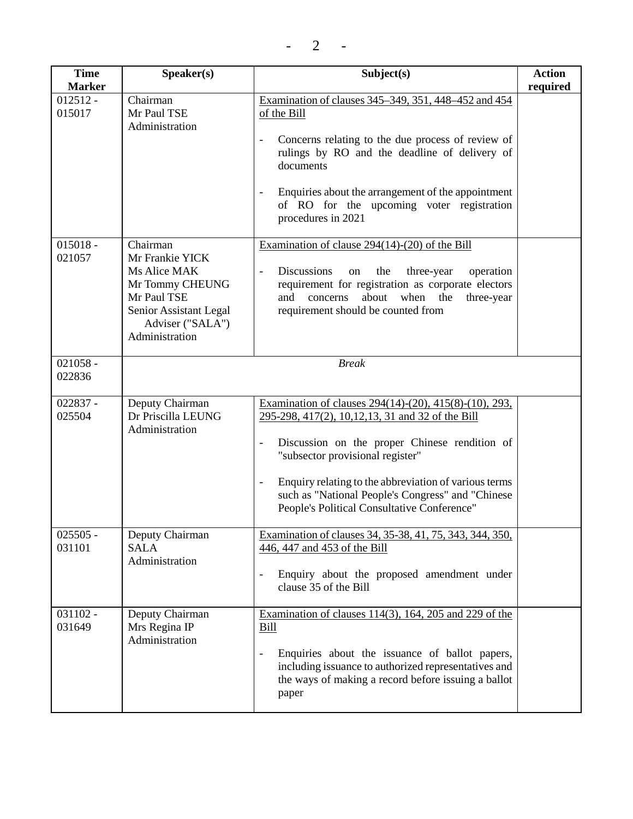| <b>Time</b>          | Speaker(s)                                                                                                                                    | Subject(s)                                                                                                                                                                                                                                                                                                                                                                                 | <b>Action</b> |
|----------------------|-----------------------------------------------------------------------------------------------------------------------------------------------|--------------------------------------------------------------------------------------------------------------------------------------------------------------------------------------------------------------------------------------------------------------------------------------------------------------------------------------------------------------------------------------------|---------------|
| <b>Marker</b>        |                                                                                                                                               |                                                                                                                                                                                                                                                                                                                                                                                            | required      |
| $012512 -$<br>015017 | Chairman<br>Mr Paul TSE<br>Administration                                                                                                     | Examination of clauses 345–349, 351, 448–452 and 454<br>of the Bill<br>Concerns relating to the due process of review of<br>$\overline{\phantom{a}}$<br>rulings by RO and the deadline of delivery of<br>documents<br>Enquiries about the arrangement of the appointment<br>$\overline{\phantom{a}}$<br>of RO for the upcoming voter registration<br>procedures in 2021                    |               |
| $015018 -$<br>021057 | Chairman<br>Mr Frankie YICK<br>Ms Alice MAK<br>Mr Tommy CHEUNG<br>Mr Paul TSE<br>Senior Assistant Legal<br>Adviser ("SALA")<br>Administration | Examination of clause $294(14)-(20)$ of the Bill<br><b>Discussions</b><br>the<br>operation<br>three-year<br>on<br>$\overline{\phantom{a}}$<br>requirement for registration as corporate electors<br>about<br>when the<br>three-year<br>and<br>concerns<br>requirement should be counted from                                                                                               |               |
| $021058 -$           |                                                                                                                                               | <b>Break</b>                                                                                                                                                                                                                                                                                                                                                                               |               |
| 022836               |                                                                                                                                               |                                                                                                                                                                                                                                                                                                                                                                                            |               |
| 022837 -<br>025504   | Deputy Chairman<br>Dr Priscilla LEUNG<br>Administration                                                                                       | Examination of clauses 294(14)-(20), 415(8)-(10), 293,<br>295-298, 417(2), 10, 12, 13, 31 and 32 of the Bill<br>Discussion on the proper Chinese rendition of<br>"subsector provisional register"<br>Enquiry relating to the abbreviation of various terms<br>$\overline{\phantom{a}}$<br>such as "National People's Congress" and "Chinese<br>People's Political Consultative Conference" |               |
| $025505 -$<br>031101 | Deputy Chairman<br><b>SALA</b><br>Administration                                                                                              | Examination of clauses 34, 35-38, 41, 75, 343, 344, 350,<br>446, 447 and 453 of the Bill<br>Enquiry about the proposed amendment under<br>$\overline{\phantom{a}}$<br>clause 35 of the Bill                                                                                                                                                                                                |               |
| $031102 -$<br>031649 | Deputy Chairman<br>Mrs Regina IP<br>Administration                                                                                            | Examination of clauses $114(3)$ , 164, 205 and 229 of the<br><b>Bill</b><br>Enquiries about the issuance of ballot papers,<br>including issuance to authorized representatives and<br>the ways of making a record before issuing a ballot<br>paper                                                                                                                                         |               |